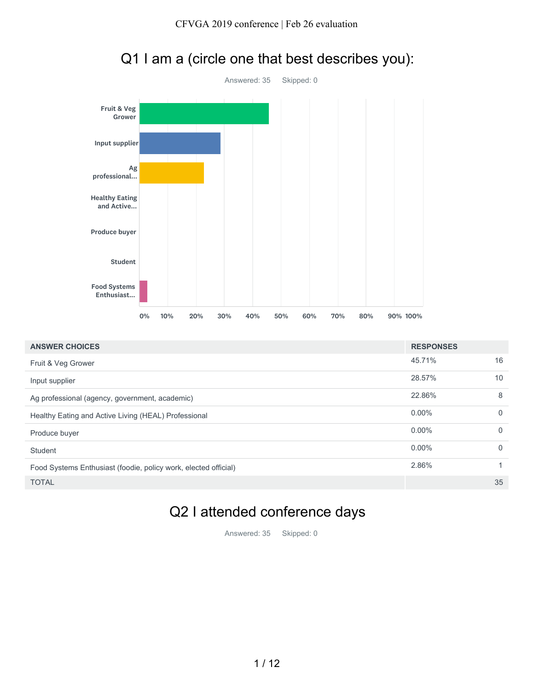



# Q1 I am a (circle one that best describes you):

| <b>ANSWER CHOICES</b>                                           | <b>RESPONSES</b> |          |
|-----------------------------------------------------------------|------------------|----------|
| Fruit & Veg Grower                                              | 45.71%           | 16       |
| Input supplier                                                  | 28.57%           | 10       |
| Ag professional (agency, government, academic)                  | 22.86%           | 8        |
| Healthy Eating and Active Living (HEAL) Professional            | $0.00\%$         | $\Omega$ |
| Produce buyer                                                   | $0.00\%$         | $\Omega$ |
| Student                                                         | $0.00\%$         | $\Omega$ |
| Food Systems Enthusiast (foodie, policy work, elected official) | 2.86%            |          |
| <b>TOTAL</b>                                                    |                  | 35       |

## Q2 I attended conference days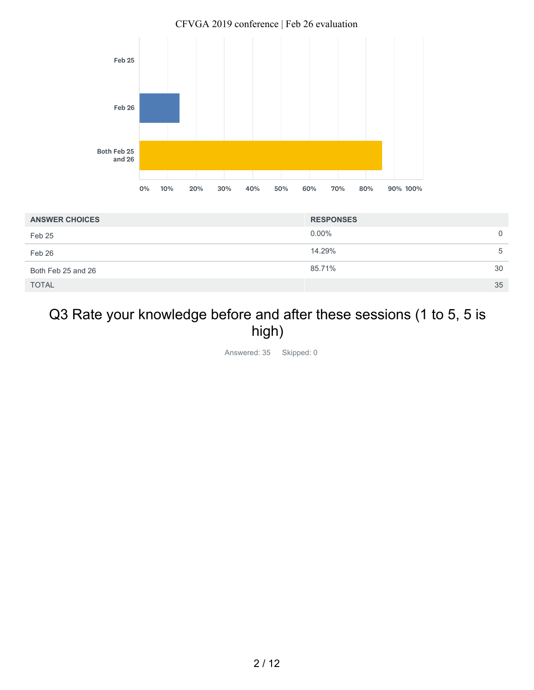

| <b>ANSWER CHOICES</b> | <b>RESPONSES</b> |
|-----------------------|------------------|
| Feb 25                | $0.00\%$<br>0    |
| Feb 26                | 14.29%<br>5      |
| Both Feb 25 and 26    | 85.71%<br>30     |
| <b>TOTAL</b>          | 35               |

## Q3 Rate your knowledge before and after these sessions (1 to 5, 5 is high)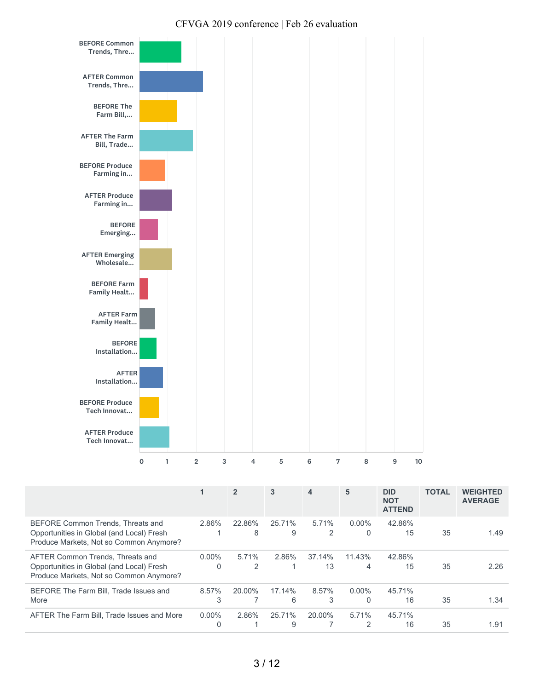

|                                                                                                                           |                          | 2           | 3           | 4             | 5           | <b>DID</b><br><b>NOT</b><br><b>ATTEND</b> | <b>TOTAL</b> | <b>WEIGHTED</b><br><b>AVERAGE</b> |
|---------------------------------------------------------------------------------------------------------------------------|--------------------------|-------------|-------------|---------------|-------------|-------------------------------------------|--------------|-----------------------------------|
| BEFORE Common Trends, Threats and<br>Opportunities in Global (and Local) Fresh<br>Produce Markets, Not so Common Anymore? | 2.86%                    | 22.86%<br>8 | 25.71%<br>9 | 5.71%<br>2    | $0.00\%$    | 42.86%<br>15                              | 35           | 1.49                              |
| AFTER Common Trends, Threats and<br>Opportunities in Global (and Local) Fresh<br>Produce Markets, Not so Common Anymore?  | $0.00\%$<br>$\mathbf{0}$ | 5.71%<br>2  | 2.86%       | 37.14%<br>13  | 11.43%<br>4 | 42.86%<br>15                              | 35           | 2.26                              |
| BEFORE The Farm Bill. Trade Issues and<br>More                                                                            | 8.57%<br>3               | 20.00%      | 17.14%<br>6 | $8.57\%$<br>3 | $0.00\%$    | 45.71%<br>16                              | 35           | 1.34                              |
| AFTER The Farm Bill, Trade Issues and More                                                                                | $0.00\%$<br>$\Omega$     | 2.86%       | 25.71%<br>9 | 20.00%        | 5.71%       | 45.71%<br>16                              | 35           | 1.91                              |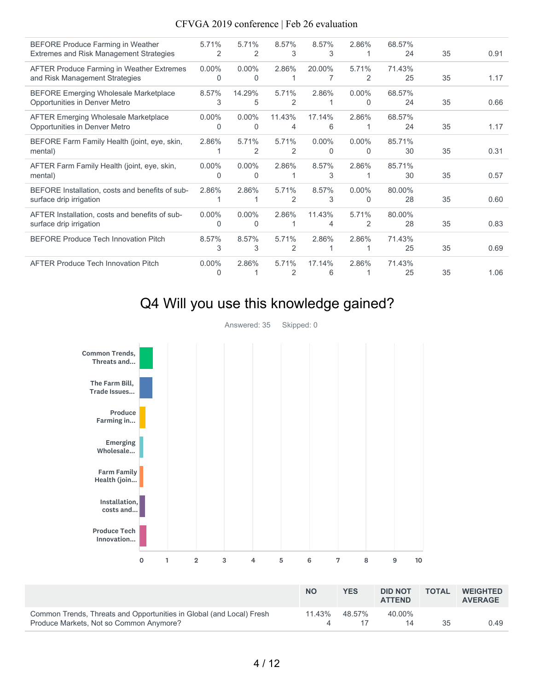| <b>BEFORE Produce Farming in Weather</b><br>Extremes and Risk Management Strategies | 5.71%<br>2               | 5.71%<br>2           | 8.57%<br>3  | 8.57%<br>3           | 2.86%         | 68.57%<br>24 | 35 | 0.91 |
|-------------------------------------------------------------------------------------|--------------------------|----------------------|-------------|----------------------|---------------|--------------|----|------|
| <b>AFTER Produce Farming in Weather Extremes</b><br>and Risk Management Strategies  | $0.00\%$<br>$\Omega$     | $0.00\%$<br>$\Omega$ | 2.86%       | 20.00%               | 5.71%<br>2    | 71.43%<br>25 | 35 | 1.17 |
| <b>BEFORE Emerging Wholesale Marketplace</b><br>Opportunities in Denver Metro       | 8.57%<br>3               | 14.29%<br>5          | 5.71%<br>2  | 2.86%<br>1           | $0.00\%$<br>0 | 68.57%<br>24 | 35 | 0.66 |
| <b>AFTER Emerging Wholesale Marketplace</b><br>Opportunities in Denver Metro        | $0.00\%$<br>$\Omega$     | $0.00\%$<br>$\Omega$ | 11.43%<br>4 | 17.14%<br>6          | 2.86%         | 68.57%<br>24 | 35 | 1.17 |
| BEFORE Farm Family Health (joint, eye, skin,<br>mental)                             | 2.86%                    | 5.71%<br>2           | 5.71%<br>2  | $0.00\%$<br>$\Omega$ | $0.00\%$<br>0 | 85.71%<br>30 | 35 | 0.31 |
| AFTER Farm Family Health (joint, eye, skin,<br>mental)                              | $0.00\%$<br>$\Omega$     | $0.00\%$<br>$\Omega$ | 2.86%       | 8.57%<br>3           | 2.86%         | 85.71%<br>30 | 35 | 0.57 |
| BEFORE Installation, costs and benefits of sub-<br>surface drip irrigation          | 2.86%                    | 2.86%                | 5.71%<br>2  | 8.57%<br>3           | $0.00\%$<br>0 | 80.00%<br>28 | 35 | 0.60 |
| AFTER Installation, costs and benefits of sub-<br>surface drip irrigation           | $0.00\%$<br>$\Omega$     | $0.00\%$<br>$\Omega$ | 2.86%       | 11.43%<br>4          | 5.71%<br>2    | 80.00%<br>28 | 35 | 0.83 |
| <b>BEFORE Produce Tech Innovation Pitch</b>                                         | 8.57%<br>3               | 8.57%<br>3           | 5.71%<br>2  | 2.86%                | 2.86%         | 71.43%<br>25 | 35 | 0.69 |
| <b>AFTER Produce Tech Innovation Pitch</b>                                          | $0.00\%$<br><sup>0</sup> | 2.86%                | 5.71%<br>2  | 17.14%<br>6          | 2.86%         | 71.43%<br>25 | 35 | 1.06 |

## Q4 Will you use this knowledge gained?

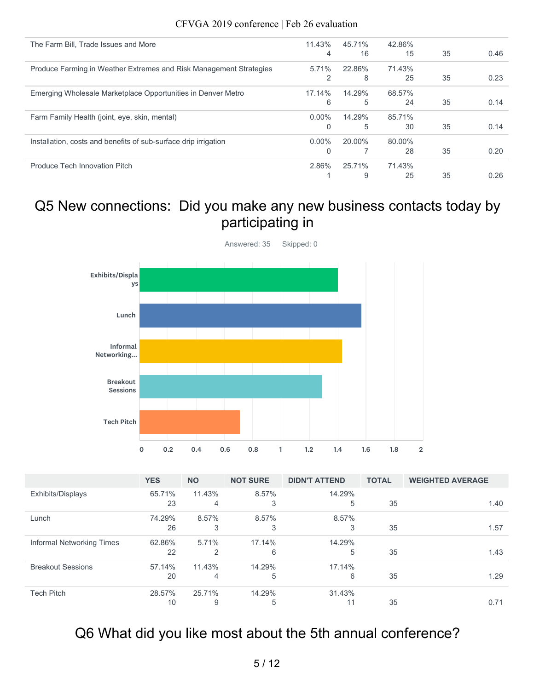| The Farm Bill, Trade Issues and More                               | 11.43%   | 45.71% | 42.86% |    |      |
|--------------------------------------------------------------------|----------|--------|--------|----|------|
|                                                                    | 4        | 16     | 15     | 35 | 0.46 |
| Produce Farming in Weather Extremes and Risk Management Strategies | $5.71\%$ | 22.86% | 71.43% |    |      |
|                                                                    | 2        | 8      | 25     | 35 | 0.23 |
| Emerging Wholesale Marketplace Opportunities in Denver Metro       | 17.14%   | 14.29% | 68.57% |    |      |
|                                                                    | 6        | 5      | 24     | 35 | 0.14 |
| Farm Family Health (joint, eye, skin, mental)                      | $0.00\%$ | 14.29% | 85.71% |    |      |
|                                                                    | $\Omega$ | 5      | 30     | 35 | 0.14 |
| Installation, costs and benefits of sub-surface drip irrigation    | $0.00\%$ | 20.00% | 80.00% |    |      |
|                                                                    | $\Omega$ |        | 28     | 35 | 0.20 |
| Produce Tech Innovation Pitch                                      | 2.86%    | 25.71% | 71.43% |    |      |
|                                                                    |          | 9      | 25     | 35 | 0.26 |

### Q5 New connections: Did you make any new business contacts today by participating in



|                           | <b>YES</b>   | <b>NO</b>   | <b>NOT SURE</b> | <b>DIDN'T ATTEND</b> | <b>TOTAL</b> | <b>WEIGHTED AVERAGE</b> |
|---------------------------|--------------|-------------|-----------------|----------------------|--------------|-------------------------|
| Exhibits/Displays         | 65.71%<br>23 | 11.43%<br>4 | 8.57%<br>3      | 14.29%<br>5          | 35           | 1.40                    |
| Lunch                     | 74.29%       | 8.57%       | 8.57%           | 8.57%                |              |                         |
|                           | 26           | 3           | 3               | 3                    | 35           | 1.57                    |
| Informal Networking Times | 62.86%       | 5.71%       | 17.14%          | 14.29%               |              |                         |
|                           | 22           | 2           | 6               | 5                    | 35           | 1.43                    |
| <b>Breakout Sessions</b>  | 57.14%       | 11.43%      | 14.29%          | 17.14%               |              |                         |
|                           | 20           | 4           | 5               | 6                    | 35           | 1.29                    |
| <b>Tech Pitch</b>         | 28.57%       | 25.71%      | 14.29%          | 31.43%               |              |                         |
|                           | 10           | 9           | 5               | 11                   | 35           | 0.71                    |

## Q6 What did you like most about the 5th annual conference?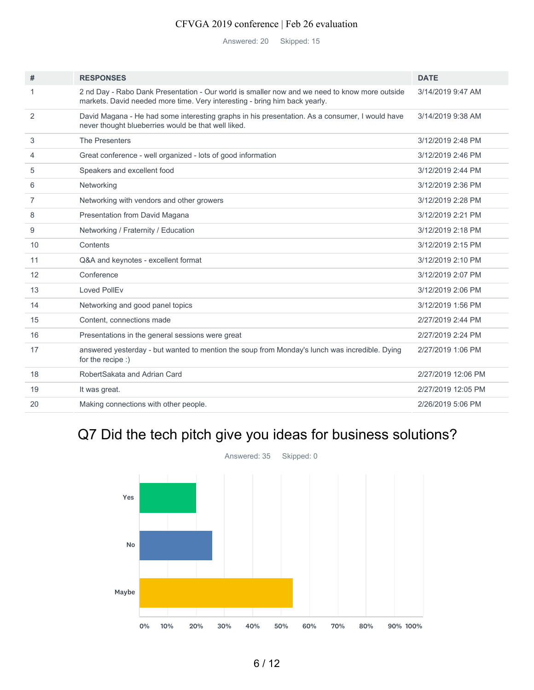Answered: 20 Skipped: 15

| #              | <b>RESPONSES</b>                                                                                                                                                            | <b>DATE</b>        |
|----------------|-----------------------------------------------------------------------------------------------------------------------------------------------------------------------------|--------------------|
|                | 2 nd Day - Rabo Dank Presentation - Our world is smaller now and we need to know more outside<br>markets. David needed more time. Very interesting - bring him back yearly. | 3/14/2019 9:47 AM  |
| 2              | David Magana - He had some interesting graphs in his presentation. As a consumer, I would have<br>never thought blueberries would be that well liked.                       | 3/14/2019 9:38 AM  |
| 3              | <b>The Presenters</b>                                                                                                                                                       | 3/12/2019 2:48 PM  |
| $\overline{4}$ | Great conference - well organized - lots of good information                                                                                                                | 3/12/2019 2:46 PM  |
| 5              | Speakers and excellent food                                                                                                                                                 | 3/12/2019 2:44 PM  |
| 6              | Networking                                                                                                                                                                  | 3/12/2019 2:36 PM  |
| 7              | Networking with vendors and other growers                                                                                                                                   | 3/12/2019 2:28 PM  |
| 8              | Presentation from David Magana                                                                                                                                              | 3/12/2019 2:21 PM  |
| 9              | Networking / Fraternity / Education                                                                                                                                         | 3/12/2019 2:18 PM  |
| 10             | Contents                                                                                                                                                                    | 3/12/2019 2:15 PM  |
| 11             | Q&A and keynotes - excellent format                                                                                                                                         | 3/12/2019 2:10 PM  |
| 12             | Conference                                                                                                                                                                  | 3/12/2019 2:07 PM  |
| 13             | Loved PollEv                                                                                                                                                                | 3/12/2019 2:06 PM  |
| 14             | Networking and good panel topics                                                                                                                                            | 3/12/2019 1:56 PM  |
| 15             | Content, connections made                                                                                                                                                   | 2/27/2019 2:44 PM  |
| 16             | Presentations in the general sessions were great                                                                                                                            | 2/27/2019 2:24 PM  |
| 17             | answered yesterday - but wanted to mention the soup from Monday's lunch was incredible. Dying<br>for the recipe :)                                                          | 2/27/2019 1:06 PM  |
| 18             | RobertSakata and Adrian Card                                                                                                                                                | 2/27/2019 12:06 PM |
| 19             | It was great.                                                                                                                                                               | 2/27/2019 12:05 PM |
| 20             | Making connections with other people.                                                                                                                                       | 2/26/2019 5:06 PM  |
|                |                                                                                                                                                                             |                    |

# Q7 Did the tech pitch give you ideas for business solutions?

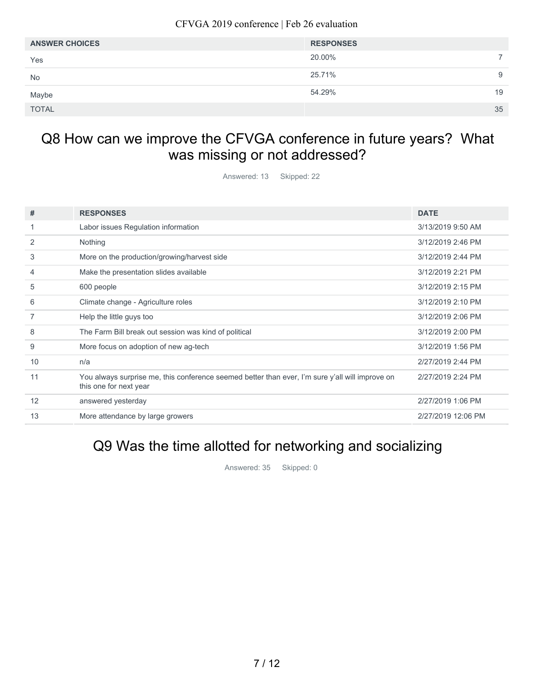| <b>ANSWER CHOICES</b> | <b>RESPONSES</b> |  |
|-----------------------|------------------|--|
| Yes                   | 20.00%           |  |
| No                    | 25.71%<br>9      |  |
| Maybe                 | 54.29%<br>19     |  |
| <b>TOTAL</b>          | 35               |  |

## Q8 How can we improve the CFVGA conference in future years? What was missing or not addressed?

Answered: 13 Skipped: 22

| #  | <b>RESPONSES</b>                                                                                                          | <b>DATE</b>        |
|----|---------------------------------------------------------------------------------------------------------------------------|--------------------|
|    | Labor issues Regulation information                                                                                       | 3/13/2019 9:50 AM  |
| 2  | Nothing                                                                                                                   | 3/12/2019 2:46 PM  |
| 3  | More on the production/growing/harvest side                                                                               | 3/12/2019 2:44 PM  |
| 4  | Make the presentation slides available                                                                                    | 3/12/2019 2:21 PM  |
| 5  | 600 people                                                                                                                | 3/12/2019 2:15 PM  |
| 6  | Climate change - Agriculture roles                                                                                        | 3/12/2019 2:10 PM  |
|    | Help the little guys too                                                                                                  | 3/12/2019 2:06 PM  |
| 8  | The Farm Bill break out session was kind of political                                                                     | 3/12/2019 2:00 PM  |
| 9  | More focus on adoption of new ag-tech                                                                                     | 3/12/2019 1:56 PM  |
| 10 | n/a                                                                                                                       | 2/27/2019 2:44 PM  |
| 11 | You always surprise me, this conference seemed better than ever, I'm sure y'all will improve on<br>this one for next year | 2/27/2019 2:24 PM  |
| 12 | answered yesterday                                                                                                        | 2/27/2019 1:06 PM  |
| 13 | More attendance by large growers                                                                                          | 2/27/2019 12:06 PM |

### Q9 Was the time allotted for networking and socializing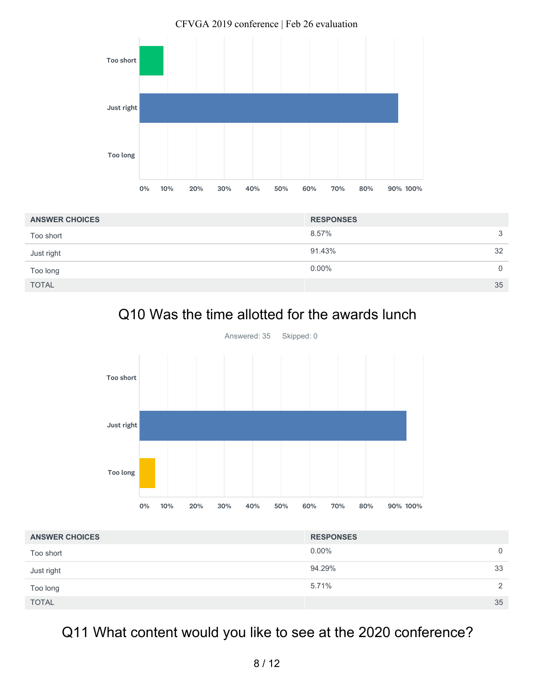

| <b>ANSWER CHOICES</b> | <b>RESPONSES</b> |             |
|-----------------------|------------------|-------------|
| Too short             | 8.57%            | 3           |
| Just right            | 91.43%           | 32          |
| Too long              | $0.00\%$         | $\mathbf 0$ |
| <b>TOTAL</b>          |                  | 35          |

# Q10 Was the time allotted for the awards lunch



| <b>ANSWER CHOICES</b> | <b>RESPONSES</b> |                |
|-----------------------|------------------|----------------|
| Too short             | $0.00\%$         | $\overline{0}$ |
| Just right            | 94.29%           | 33             |
| Too long              | 5.71%            | 2              |
| <b>TOTAL</b>          |                  | 35             |

# Q11 What content would you like to see at the 2020 conference?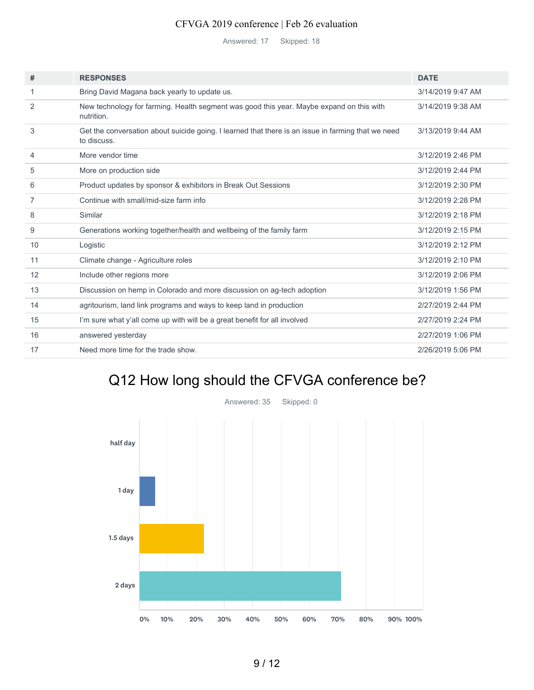Answered: 17 Skipped: 18

| #  | <b>RESPONSES</b>                                                                                                  | <b>DATE</b>       |
|----|-------------------------------------------------------------------------------------------------------------------|-------------------|
| 1  | Bring David Magana back yearly to update us.                                                                      | 3/14/2019 9:47 AM |
| 2  | New technology for farming. Health segment was good this year. Maybe expand on this with<br>nutrition.            | 3/14/2019 9:38 AM |
| 3  | Get the conversation about suicide going. I learned that there is an issue in farming that we need<br>to discuss. | 3/13/2019 9:44 AM |
| 4  | More vendor time                                                                                                  | 3/12/2019 2:46 PM |
| 5  | More on production side                                                                                           | 3/12/2019 2:44 PM |
| 6  | Product updates by sponsor & exhibitors in Break Out Sessions                                                     | 3/12/2019 2:30 PM |
| 7  | Continue with small/mid-size farm info                                                                            | 3/12/2019 2:28 PM |
| 8  | Similar                                                                                                           | 3/12/2019 2:18 PM |
| 9  | Generations working together/health and wellbeing of the family farm                                              | 3/12/2019 2:15 PM |
| 10 | Logistic                                                                                                          | 3/12/2019 2:12 PM |
| 11 | Climate change - Agriculture roles                                                                                | 3/12/2019 2:10 PM |
| 12 | Include other regions more                                                                                        | 3/12/2019 2:06 PM |
| 13 | Discussion on hemp in Colorado and more discussion on ag-tech adoption                                            | 3/12/2019 1:56 PM |
| 14 | agritourism, land link programs and ways to keep land in production                                               | 2/27/2019 2:44 PM |
| 15 | I'm sure what y'all come up with will be a great benefit for all involved                                         | 2/27/2019 2:24 PM |
| 16 | answered yesterday                                                                                                | 2/27/2019 1:06 PM |
| 17 | Need more time for the trade show.                                                                                | 2/26/2019 5:06 PM |
|    |                                                                                                                   |                   |

# Q12 How long should the CFVGA conference be?

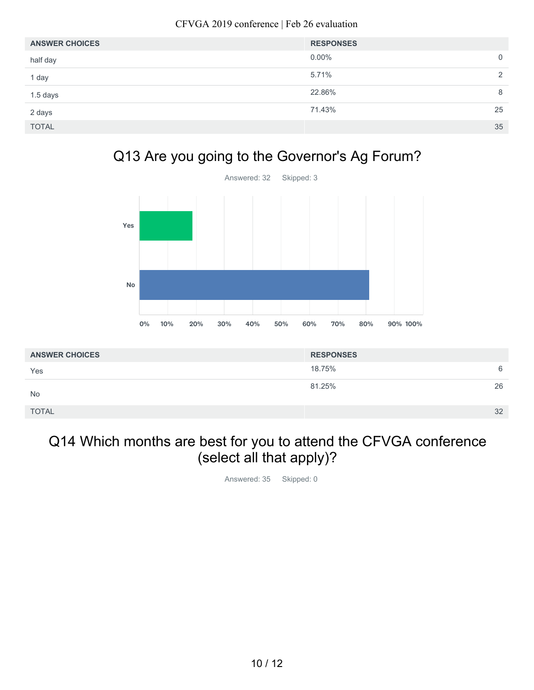| <b>ANSWER CHOICES</b> | <b>RESPONSES</b> |                |
|-----------------------|------------------|----------------|
| half day              | $0.00\%$         | $\overline{0}$ |
| 1 day                 | 5.71%            | 2              |
| 1.5 days              | 22.86%           | 8              |
| 2 days                | 71.43%           | 25             |
| <b>TOTAL</b>          |                  | 35             |

## Q13 Are you going to the Governor's Ag Forum?



| <b>ANSWER CHOICES</b> | <b>RESPONSES</b> |    |
|-----------------------|------------------|----|
| Yes                   | 18.75%           | 6  |
| <b>No</b>             | 81.25%           | 26 |
| <b>TOTAL</b>          |                  | 32 |

## Q14 Which months are best for you to attend the CFVGA conference (select all that apply)?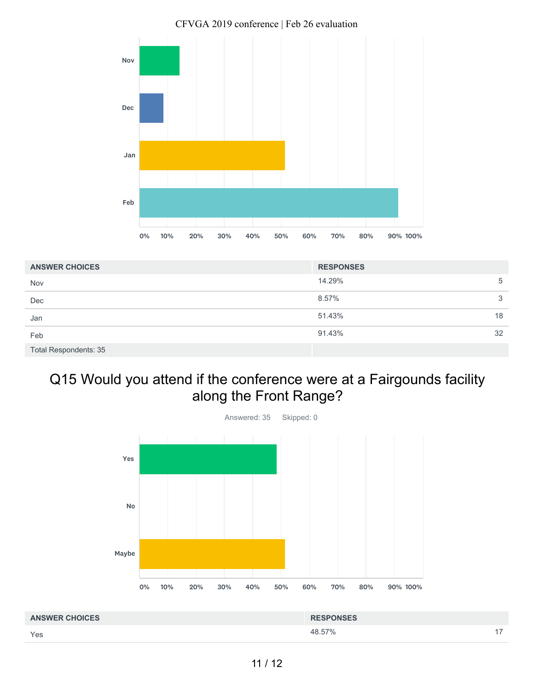

| <b>ANSWER CHOICES</b>        | <b>RESPONSES</b> |    |
|------------------------------|------------------|----|
| Nov                          | 14.29%           | 5  |
| Dec                          | 8.57%            | 3  |
| Jan                          | 51.43%           | 18 |
| Feb                          | 91.43%           | 32 |
| <b>Total Respondents: 35</b> |                  |    |

## Q15 Would you attend if the conference were at a Fairgounds facility along the Front Range?



Yes